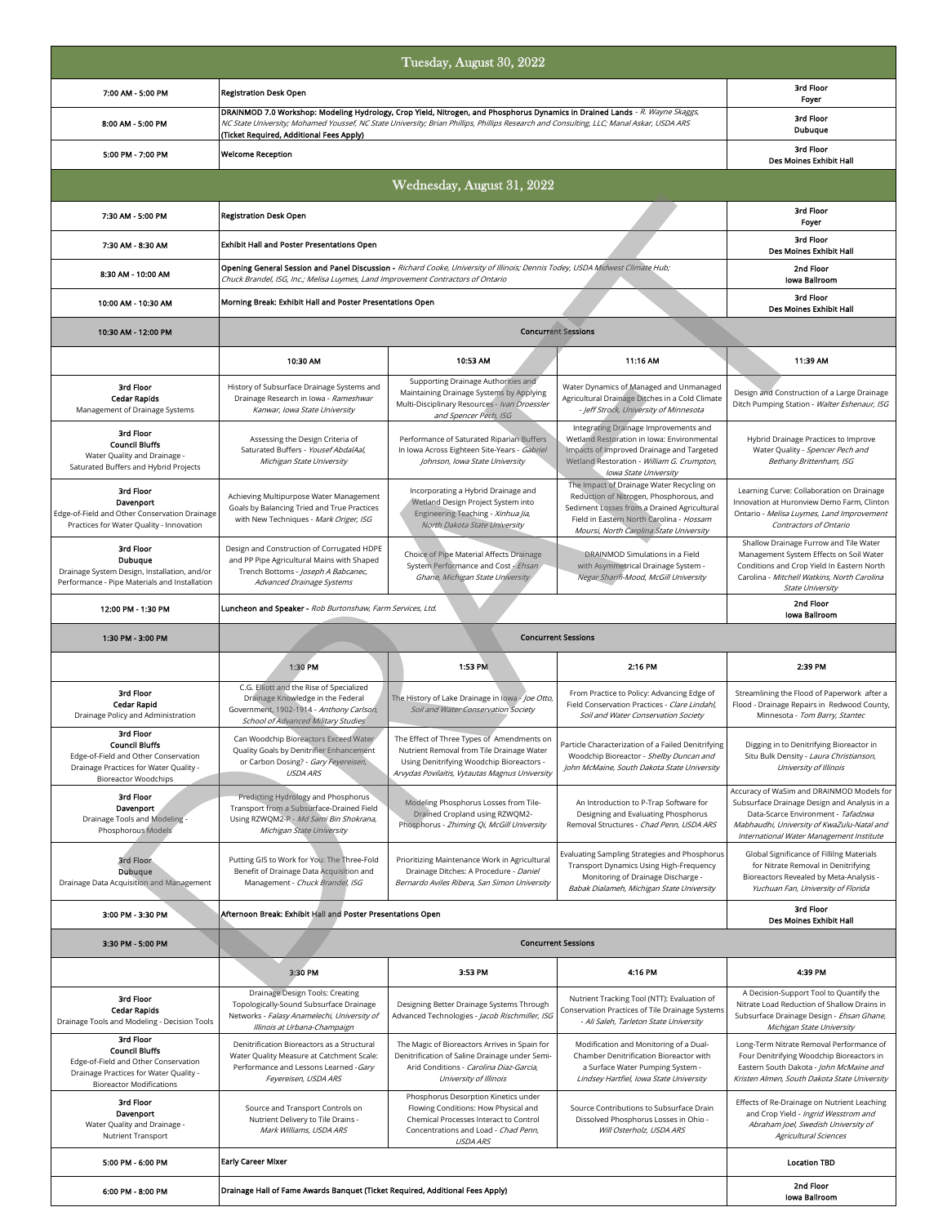|                                                                                                                                                         |                                                                                                                                                                                                                                                                                                                     | Tuesday, August 30, 2022                                                                                                                                                               |                                                                                                                                                                                                                            |                                                                                                                                                                                                                           |  |  |  |
|---------------------------------------------------------------------------------------------------------------------------------------------------------|---------------------------------------------------------------------------------------------------------------------------------------------------------------------------------------------------------------------------------------------------------------------------------------------------------------------|----------------------------------------------------------------------------------------------------------------------------------------------------------------------------------------|----------------------------------------------------------------------------------------------------------------------------------------------------------------------------------------------------------------------------|---------------------------------------------------------------------------------------------------------------------------------------------------------------------------------------------------------------------------|--|--|--|
| 7:00 AM - 5:00 PM                                                                                                                                       | <b>Registration Desk Open</b>                                                                                                                                                                                                                                                                                       | 3rd Floor<br>Foyer                                                                                                                                                                     |                                                                                                                                                                                                                            |                                                                                                                                                                                                                           |  |  |  |
| 8:00 AM - 5:00 PM                                                                                                                                       | DRAINMOD 7.0 Workshop: Modeling Hydrology, Crop Yield, Nitrogen, and Phosphorus Dynamics in Drained Lands - R. Wayne Skaggs,<br>NC State University; Mohamed Youssef, NC State University; Brian Phillips, Phillips Research and Consulting, LLC; Manal Askar, USDA ARS<br>(Ticket Required, Additional Fees Apply) | 3rd Floor<br>Dubuque                                                                                                                                                                   |                                                                                                                                                                                                                            |                                                                                                                                                                                                                           |  |  |  |
| 5:00 PM - 7:00 PM                                                                                                                                       | <b>Welcome Reception</b>                                                                                                                                                                                                                                                                                            | 3rd Floor<br>Des Moines Exhibit Hall                                                                                                                                                   |                                                                                                                                                                                                                            |                                                                                                                                                                                                                           |  |  |  |
|                                                                                                                                                         | Wednesday, August 31, 2022                                                                                                                                                                                                                                                                                          |                                                                                                                                                                                        |                                                                                                                                                                                                                            |                                                                                                                                                                                                                           |  |  |  |
| 7:30 AM - 5:00 PM                                                                                                                                       | <b>Registration Desk Open</b>                                                                                                                                                                                                                                                                                       | 3rd Floor<br>Foyer                                                                                                                                                                     |                                                                                                                                                                                                                            |                                                                                                                                                                                                                           |  |  |  |
| 7:30 AM - 8:30 AM                                                                                                                                       | Exhibit Hall and Poster Presentations Open                                                                                                                                                                                                                                                                          | 3rd Floor<br><b>Des Moines Exhibit Hall</b>                                                                                                                                            |                                                                                                                                                                                                                            |                                                                                                                                                                                                                           |  |  |  |
| 8:30 AM - 10:00 AM                                                                                                                                      | Opening General Session and Panel Discussion - Richard Cooke, University of Illinois; Dennis Todey, USDA Midwest Climate Hub;<br>Chuck Brandel, ISG, Inc.; Melisa Luymes, Land Improvement Contractors of Ontario                                                                                                   | 2nd Floor<br><b>Iowa Ballroom</b>                                                                                                                                                      |                                                                                                                                                                                                                            |                                                                                                                                                                                                                           |  |  |  |
| 10:00 AM - 10:30 AM                                                                                                                                     | Morning Break: Exhibit Hall and Poster Presentations Open                                                                                                                                                                                                                                                           | 3rd Floor<br>Des Moines Exhibit Hall                                                                                                                                                   |                                                                                                                                                                                                                            |                                                                                                                                                                                                                           |  |  |  |
| 10:30 AM - 12:00 PM                                                                                                                                     | <b>Concurrent Sessions</b>                                                                                                                                                                                                                                                                                          |                                                                                                                                                                                        |                                                                                                                                                                                                                            |                                                                                                                                                                                                                           |  |  |  |
|                                                                                                                                                         | 10:30 AM                                                                                                                                                                                                                                                                                                            | 10:53 AM                                                                                                                                                                               | 11:16 AM                                                                                                                                                                                                                   | 11:39 AM                                                                                                                                                                                                                  |  |  |  |
| 3rd Floor<br><b>Cedar Rapids</b><br>Management of Drainage Systems                                                                                      | History of Subsurface Drainage Systems and<br>Drainage Research in Iowa - Rameshwar<br>Kanwar, Iowa State University                                                                                                                                                                                                | Supporting Drainage Authorities and<br>Maintaining Drainage Systems by Applying<br>Multi-Disciplinary Resources - Ivan Droessler<br>and Spencer Pech, ISG                              | Water Dynamics of Managed and Unmanaged<br>Agricultural Drainage Ditches in a Cold Climate<br>- Jeff Strock, University of Minnesota                                                                                       | Design and Construction of a Large Drainage<br>Ditch Pumping Station - Walter Eshenaur, ISG                                                                                                                               |  |  |  |
| 3rd Floor<br><b>Council Bluffs</b><br>Water Quality and Drainage -<br>Saturated Buffers and Hybrid Projects                                             | Assessing the Design Criteria of<br>Saturated Buffers - Yousef AbdalAal,<br>Michigan State University                                                                                                                                                                                                               | Performance of Saturated Riparian Buffers<br>In Iowa Across Eighteen Site-Years - Gabriel<br>Johnson, Iowa State University                                                            | Integrating Drainage Improvements and<br>Wetland Restoration in Iowa: Environmental<br>Impacts of Improved Drainage and Targeted<br>Wetland Restoration - William G. Crumpton,<br>Iowa State University                    | Hybrid Drainage Practices to Improve<br>Water Quality - Spencer Pech and<br>Bethany Brittenham, ISG                                                                                                                       |  |  |  |
| 3rd Floor<br>Davenport<br>Edge-of-Field and Other Conservation Drainage<br>Practices for Water Quality - Innovation                                     | Achieving Multipurpose Water Management<br>Goals by Balancing Tried and True Practices<br>with New Techniques - Mark Origer, ISG                                                                                                                                                                                    | Incorporating a Hybrid Drainage and<br>Wetland Design Project System into<br>Engineering Teaching - Xinhua Jia,<br>North Dakota State University                                       | The Impact of Drainage Water Recycling on<br>Reduction of Nitrogen, Phosphorous, and<br>Sediment Losses from a Drained Agricultural<br>Field in Eastern North Carolina - Hossam<br>Moursi, North Carolina State University | Learning Curve: Collaboration on Drainage<br>Innovation at Huronview Demo Farm, Clinton<br>Ontario - Melisa Luymes, Land Improvement<br>Contractors of Ontario                                                            |  |  |  |
| 3rd Floor<br>Dubuque<br>Drainage System Design, Installation, and/or<br>Performance - Pipe Materials and Installation                                   | Design and Construction of Corrugated HDPE<br>and PP Pipe Agricultural Mains with Shaped<br>Trench Bottoms - Joseph A Babcanec,<br>Advanced Drainage Systems                                                                                                                                                        | Choice of Pipe Material Affects Drainage<br>System Performance and Cost - Ehsan<br>Ghane, Michigan State University                                                                    | DRAINMOD Simulations in a Field<br>with Asymmetrical Drainage System -<br>Negar Sharifi-Mood, McGill University                                                                                                            | Shallow Drainage Furrow and Tile Water<br>Management System Effects on Soil Water<br>Conditions and Crop Yield In Eastern North<br>Carolina - Mitchell Watkins, North Carolina<br><b>State University</b>                 |  |  |  |
| 12:00 PM - 1:30 PM                                                                                                                                      | Luncheon and Speaker - Rob Burtonshaw, Farm Services, Ltd.                                                                                                                                                                                                                                                          | 2nd Floor<br>Iowa Ballroom                                                                                                                                                             |                                                                                                                                                                                                                            |                                                                                                                                                                                                                           |  |  |  |
| 1:30 PM - 3:00 PM                                                                                                                                       | <b>Concurrent Sessions</b>                                                                                                                                                                                                                                                                                          |                                                                                                                                                                                        |                                                                                                                                                                                                                            |                                                                                                                                                                                                                           |  |  |  |
|                                                                                                                                                         | 1:30 PM                                                                                                                                                                                                                                                                                                             | 1:53 PM                                                                                                                                                                                | 2:16 PM                                                                                                                                                                                                                    | 2:39 PM                                                                                                                                                                                                                   |  |  |  |
| 3rd Floor<br><b>Cedar Rapid</b><br>Drainage Policy and Administration                                                                                   | C.G. Elliott and the Rise of Specialized<br>Drainage Knowledge in the Federal<br>Government, 1902-1914 - Anthony Carlson,<br>School of Advanced Military Studies                                                                                                                                                    | The History of Lake Drainage in lowa - Joe Otto,<br>Soil and Water Conservation Society                                                                                                | From Practice to Policy: Advancing Edge of<br>Field Conservation Practices - Clare Lindahl,<br>Soil and Water Conservation Society                                                                                         | Streamlining the Flood of Paperwork after a<br>Flood - Drainage Repairs in Redwood County,<br>Minnesota - Tom Barry, Stantec                                                                                              |  |  |  |
| 3rd Floor<br><b>Council Bluffs</b><br>Edge-of-Field and Other Conservation<br>Drainage Practices for Water Quality -<br><b>Bioreactor Woodchips</b>     | Can Woodchip Bioreactors Exceed Water<br>Quality Goals by Denitrifier Enhancement<br>or Carbon Dosing? - Gary Feyereisen,<br>USDA ARS                                                                                                                                                                               | The Effect of Three Types of Amendments on<br>Nutrient Removal from Tile Drainage Water<br>Using Denitrifying Woodchip Bioreactors -<br>Arvydas Povilaitis, Vytautas Magnus University | Particle Characterization of a Failed Denitrifying<br>Woodchip Bioreactor - Shelby Duncan and<br>John McMaine, South Dakota State University                                                                               | Digging in to Denitrifying Bioreactor in<br>Situ Bulk Density - Laura Christianson,<br>University of Illinois                                                                                                             |  |  |  |
| 3rd Floor<br>Davenport<br>Drainage Tools and Modeling -<br>Phosphorous Models                                                                           | Predicting Hydrology and Phosphorus<br>Transport from a Subsurface-Drained Field<br>Using RZWQM2-P - Md Sami Bin Shokrana,<br>Michigan State University                                                                                                                                                             | Modeling Phosphorus Losses from Tile-<br>Drained Cropland using RZWQM2-<br>Phosphorus - Zhiming Qi, McGill University                                                                  | An Introduction to P-Trap Software for<br>Designing and Evaluating Phosphorus<br>Removal Structures - Chad Penn, USDA ARS                                                                                                  | Accuracy of WaSim and DRAINMOD Models for<br>Subsurface Drainage Design and Analysis in a<br>Data-Scarce Environment - Tafadzwa<br>Mabhaudhi, University of KwaZulu-Natal and<br>International Water Management Institute |  |  |  |
| 3rd Floor<br>Dubuque<br>Drainage Data Acquisition and Management                                                                                        | Putting GIS to Work for You: The Three-Fold<br>Benefit of Drainage Data Acquisition and<br>Management - Chuck Brandel, ISG                                                                                                                                                                                          | Prioritizing Maintenance Work in Agricultural<br>Drainage Ditches: A Procedure - Daniel<br>Bernardo Aviles Ribera, San Simon University                                                | Evaluating Sampling Strategies and Phosphorus<br>Transport Dynamics Using High-Frequency<br>Monitoring of Drainage Discharge -<br>Babak Dialameh, Michigan State University                                                | Global Significance of Fillilng Materials<br>for Nitrate Removal in Denitrifying<br>Bioreactors Revealed by Meta-Analysis -<br>Yuchuan Fan, University of Florida                                                         |  |  |  |
| 3:00 PM - 3:30 PM                                                                                                                                       | 3rd Floor<br>Afternoon Break: Exhibit Hall and Poster Presentations Open<br><b>Des Moines Exhibit Hall</b>                                                                                                                                                                                                          |                                                                                                                                                                                        |                                                                                                                                                                                                                            |                                                                                                                                                                                                                           |  |  |  |
| 3:30 PM - 5:00 PM                                                                                                                                       |                                                                                                                                                                                                                                                                                                                     |                                                                                                                                                                                        |                                                                                                                                                                                                                            |                                                                                                                                                                                                                           |  |  |  |
|                                                                                                                                                         |                                                                                                                                                                                                                                                                                                                     |                                                                                                                                                                                        |                                                                                                                                                                                                                            |                                                                                                                                                                                                                           |  |  |  |
|                                                                                                                                                         | 3:30 PM                                                                                                                                                                                                                                                                                                             | 3:53 PM                                                                                                                                                                                | 4:16 PM                                                                                                                                                                                                                    | 4:39 PM                                                                                                                                                                                                                   |  |  |  |
| 3rd Floor<br><b>Cedar Rapids</b><br>Drainage Tools and Modeling - Decision Tools                                                                        | Drainage Design Tools: Creating<br>Topologically-Sound Subsurface Drainage<br>Networks - Falasy Anamelechi, University of<br>Illinois at Urbana-Champaign                                                                                                                                                           | Designing Better Drainage Systems Through<br>Advanced Technologies - Jacob Rischmiller, ISG                                                                                            | Nutrient Tracking Tool (NTT): Evaluation of<br>Conservation Practices of Tile Drainage Systems<br>- Ali Saleh, Tarleton State University                                                                                   | A Decision-Support Tool to Quantify the<br>Nitrate Load Reduction of Shallow Drains in<br>Subsurface Drainage Design - Ehsan Ghane,<br>Michigan State University                                                          |  |  |  |
| 3rd Floor<br><b>Council Bluffs</b><br>Edge-of-Field and Other Conservation<br>Drainage Practices for Water Quality -<br><b>Bioreactor Modifications</b> | Denitrification Bioreactors as a Structural<br>Water Quality Measure at Catchment Scale:<br>Performance and Lessons Learned - Gary<br>Feyereisen, USDA ARS                                                                                                                                                          | The Magic of Bioreactors Arrives in Spain for<br>Denitrification of Saline Drainage under Semi-<br>Arid Conditions - Carolina Diaz-Garcia,<br>University of Illinois                   | Modification and Monitoring of a Dual-<br>Chamber Denitrification Bioreactor with<br>a Surface Water Pumping System -<br>Lindsey Hartfiel, Iowa State University                                                           | Long-Term Nitrate Removal Performance of<br>Four Denitrifying Woodchip Bioreactors in<br>Eastern South Dakota - John McMaine and<br>Kristen Almen, South Dakota State University                                          |  |  |  |
| 3rd Floor<br>Davenport<br>Water Quality and Drainage -<br>Nutrient Transport                                                                            | Source and Transport Controls on<br>Nutrient Delivery to Tile Drains -<br>Mark Williams, USDA ARS                                                                                                                                                                                                                   | Phosphorus Desorption Kinetics under<br>Flowing Conditions: How Physical and<br>Chemical Processes Interact to Control<br>Concentrations and Load - Chad Penn,<br><b>USDA ARS</b>      | Source Contributions to Subsurface Drain<br>Dissolved Phosphorus Losses in Ohio -<br>Will Osterholz, USDA ARS                                                                                                              | Effects of Re-Drainage on Nutrient Leaching<br>and Crop Yield - Ingrid Wesstrom and<br>Abraham Joel, Swedish University of<br><b>Agricultural Sciences</b>                                                                |  |  |  |
| 5:00 PM - 6:00 PM                                                                                                                                       | <b>Early Career Mixer</b>                                                                                                                                                                                                                                                                                           |                                                                                                                                                                                        |                                                                                                                                                                                                                            | <b>Location TBD</b>                                                                                                                                                                                                       |  |  |  |